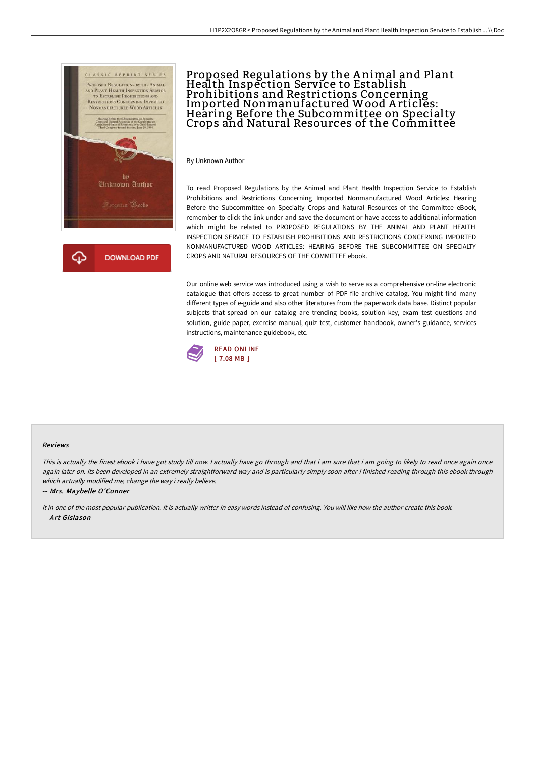

## Proposed Regulations by the A nimal and Plant Health Inspection Service to Establish Prohibitions and Restrictions Concerning Imported Nonmanufactured Wood A rticles: Hearing Before the Subcommittee on Specialty Crops and Natural Resources of the Committee

By Unknown Author

To read Proposed Regulations by the Animal and Plant Health Inspection Service to Establish Prohibitions and Restrictions Concerning Imported Nonmanufactured Wood Articles: Hearing Before the Subcommittee on Specialty Crops and Natural Resources of the Committee eBook, remember to click the link under and save the document or have access to additional information which might be related to PROPOSED REGULATIONS BY THE ANIMAL AND PLANT HEALTH INSPECTION SERVICE TO ESTABLISH PROHIBITIONS AND RESTRICTIONS CONCERNING IMPORTED NONMANUFACTURED WOOD ARTICLES: HEARING BEFORE THE SUBCOMMITTEE ON SPECIALTY CROPS AND NATURAL RESOURCES OF THE COMMITTEE ebook.

Our online web service was introduced using a wish to serve as a comprehensive on-line electronic catalogue that offers access to great number of PDF file archive catalog. You might find many different types of e-guide and also other literatures from the paperwork data base. Distinct popular subjects that spread on our catalog are trending books, solution key, exam test questions and solution, guide paper, exercise manual, quiz test, customer handbook, owner's guidance, services instructions, maintenance guidebook, etc.



## Reviews

This is actually the finest ebook i have got study till now. I actually have go through and that i am sure that i am going to likely to read once again once again later on. Its been developed in an extremely straightforward way and is particularly simply soon after i finished reading through this ebook through which actually modified me, change the way i really believe.

-- Mrs. Maybelle O'Conner

It in one of the most popular publication. It is actually writter in easy words instead of confusing. You will like how the author create this book. -- Art Gislason